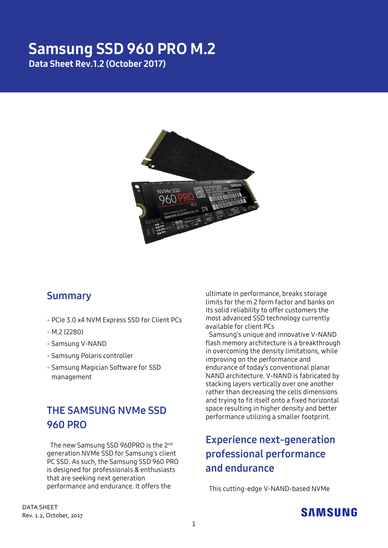## Samsung SSD 960 PRO M.2 Data Sheet Rev.1.2 (October 2017)



### **Summary**

- PCIe 3.0 x4 NVM Express SSD for Client PCs
- M.2 (2280)
- Samsung V-NAND
- Samsung Polaris controller
- Samsung Magician Software for SSD management

## **THE SAMSUNG NVMe SSD 960 PRO**

The new Samsung SSD 960PRO is the 2<sup>nd</sup> generation NVMe SSD for Samsung's client PC SSD. As such, the Samsung SSD 960 PRO is designed for professionals & enthusiasts that are seeking next generation performance and endurance. It offers the

ultimate in performance, breaks storage limits for the m.2 form factor and banks on its solid reliability to offer customers the most advanced SSD technology currently available for client PCs

Samsung's unique and innovative V-NAND flash memory architecture is a breakthrough in overcoming the density limitations, while improving on the performance and endurance of today's conventional planar NAND architecture. V-NAND is fabricated by stacking layers vertically over one another rather than decreasing the cells dimensions and trying to fit itself onto a fixed horizontal space resulting in higher density and better performance utilizing a smaller footprint.

# **Experience next-generation professional performance and endurance**

This cutting-edge V-NAND-based NVMe

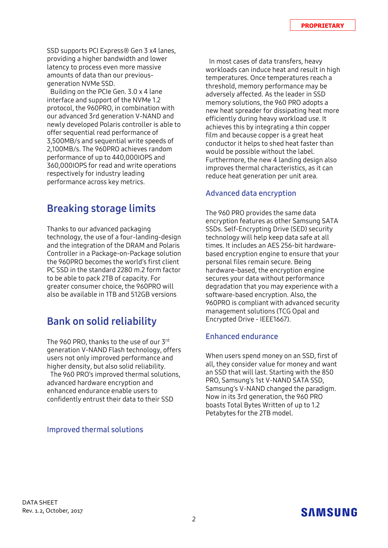SSD supports PCI Express® Gen 3 x4 lanes, providing a higher bandwidth and lower latency to process even more massive amounts of data than our previousgeneration NVMe SSD.

Building on the PCIe Gen. 3.0 x 4 lane interface and support of the NVMe 1.2 protocol, the 960PRO, in combination with our advanced 3rd generation V-NAND and newly developed Polaris controller is able to offer sequential read performance of 3,500MB/s and sequential write speeds of 2,100MB/s. The 960PRO achieves random performance of up to 440,000IOPS and 360,000IOPS for read and write operations respectively for industry leading performance across key metrics.

### **Breaking storage limits**

Thanks to our advanced packaging technology, the use of a four-landing-design and the integration of the DRAM and Polaris Controller in a Package-on-Package solution the 960PRO becomes the world's first client PC SSD in the standard 2280 m.2 form factor to be able to pack 2TB of capacity. For greater consumer choice, the 960PRO will also be available in 1TB and 512GB versions

### **Bank on solid reliability**

The 960 PRO, thanks to the use of our 3rd generation V-NAND Flash technology, offers users not only improved performance and higher density, but also solid reliability.

The 960 PRO's improved thermal solutions, advanced hardware encryption and enhanced endurance enable users to confidently entrust their data to their SSD

#### **Improved thermal solutions**

In most cases of data transfers, heavy workloads can induce heat and result in high temperatures. Once temperatures reach a threshold, memory performance may be adversely affected. As the leader in SSD memory solutions, the 960 PRO adopts a new heat spreader for dissipating heat more efficiently during heavy workload use. It achieves this by integrating a thin copper film and because copper is a great heat conductor it helps to shed heat faster than would be possible without the label. Furthermore, the new 4 landing design also improves thermal characteristics, as it can reduce heat generation per unit area.

#### **Advanced data encryption**

The 960 PRO provides the same data encryption features as other Samsung SATA SSDs. Self-Encrypting Drive (SED) security technology will help keep data safe at all times. It includes an AES 256-bit hardwarebased encryption engine to ensure that your personal files remain secure. Being hardware-based, the encryption engine secures your data without performance degradation that you may experience with a software-based encryption. Also, the 960PRO is compliant with advanced security management solutions (TCG Opal and Encrypted Drive - IEEE1667).

#### **Enhanced endurance**

When users spend money on an SSD, first of all, they consider value for money and want an SSD that will last. Starting with the 850 PRO, Samsung's 1st V-NAND SATA SSD, Samsung's V-NAND changed the paradigm. Now in its 3rd generation, the 960 PRO boasts Total Bytes Written of up to 1.2 Petabytes for the 2TB model.

## SAMSUNG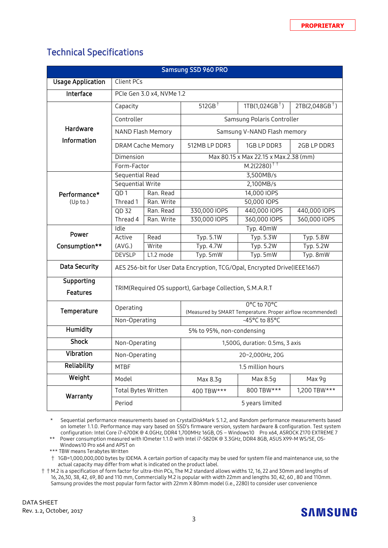### Technical Specifications

| Samsung SSD 960 PRO           |                                                                           |            |                                                             |                  |                  |  |  |
|-------------------------------|---------------------------------------------------------------------------|------------|-------------------------------------------------------------|------------------|------------------|--|--|
| <b>Usage Application</b>      | Client PCs                                                                |            |                                                             |                  |                  |  |  |
| Interface                     | PCIe Gen 3.0 x4, NVMe 1.2                                                 |            |                                                             |                  |                  |  |  |
|                               | Capacity                                                                  |            | $512GB$ <sup>+</sup>                                        | $1TB(1,024GB^+)$ | $2TB(2,048GB^+)$ |  |  |
|                               | Controller                                                                |            | Samsung Polaris Controller                                  |                  |                  |  |  |
| Hardware                      | <b>NAND Flash Memory</b>                                                  |            | Samsung V-NAND Flash memory                                 |                  |                  |  |  |
| Information                   | <b>DRAM Cache Memory</b>                                                  |            | 512MB LP DDR3                                               | 1GB LP DDR3      | 2GB LP DDR3      |  |  |
|                               | Dimension                                                                 |            | Max 80.15 x Max 22.15 x Max.2.38 (mm)                       |                  |                  |  |  |
|                               | Form-Factor                                                               |            | $M.2(2280)^{+1}$                                            |                  |                  |  |  |
| Performance*<br>(Up to.)      | Sequential Read                                                           |            | 3,500MB/s                                                   |                  |                  |  |  |
|                               | <b>Sequential Write</b>                                                   |            | 2,100MB/s                                                   |                  |                  |  |  |
|                               | QD1                                                                       | Ran. Read  | 14,000 IOPS                                                 |                  |                  |  |  |
|                               | Thread 1                                                                  | Ran. Write | 50,000 IOPS                                                 |                  |                  |  |  |
|                               | $QD$ 32                                                                   | Ran. Read  | 330,000 IOPS                                                | 440,000 IOPS     | 440,000 IOPS     |  |  |
|                               | Thread 4                                                                  | Ran. Write | 330,000 IOPS                                                | 360,000 IOPS     | 360,000 IOPS     |  |  |
|                               | Idle                                                                      |            | Typ. 40mW                                                   |                  |                  |  |  |
| Power                         | Active                                                                    | Read       | Typ. 5.1W                                                   | Typ. 5.3W        | Typ. 5.8W        |  |  |
| Consumption**                 | (AVG.)                                                                    | Write      | Typ. 4.7W                                                   | <b>Typ. 5.2W</b> | Typ. 5.2W        |  |  |
|                               | <b>DEVSLP</b>                                                             | L1.2 mode  | Typ. 5mW                                                    | Typ. 5mW         | Typ. 8mW         |  |  |
| <b>Data Security</b>          | AES 256-bit for User Data Encryption, TCG/Opal, Encrypted Drive(IEEE1667) |            |                                                             |                  |                  |  |  |
| Supporting<br><b>Features</b> | TRIM(Required OS support), Garbage Collection, S.M.A.R.T                  |            |                                                             |                  |                  |  |  |
| Temperature                   | Operating                                                                 |            | 0°C to 70°C                                                 |                  |                  |  |  |
|                               | Non-Operating                                                             |            | (Measured by SMART Temperature. Proper airflow recommended) |                  |                  |  |  |
| <b>Humidity</b>               |                                                                           |            | -45°C to 85°C<br>5% to 95%, non-condensing                  |                  |                  |  |  |
| <b>Shock</b>                  |                                                                           |            |                                                             |                  |                  |  |  |
|                               | Non-Operating                                                             |            | 1,500G, duration: 0.5ms, 3 axis                             |                  |                  |  |  |
| Vibration                     | Non-Operating                                                             |            | 20~2,000Hz, 20G                                             |                  |                  |  |  |
| Reliability                   | <b>MTBF</b>                                                               |            | 1.5 million hours                                           |                  |                  |  |  |
| Weight                        | Model                                                                     | Max 8.3g   |                                                             | Max 8.5g         | Max 9g           |  |  |
| Warranty                      | <b>Total Bytes Written</b>                                                |            | 400 TBW***                                                  | 800 TBW***       | 1,200 TBW***     |  |  |
|                               | Period                                                                    |            | 5 years limited                                             |                  |                  |  |  |

\* Sequential performance measurements based on CrystalDiskMark 5.1.2, and Random performance measurements based on Iometer 1.1.0. Performance may vary based on SSD's firmware version, system hardware & configuration. Test system configuration: Intel Core i7-6700K @ 4.0GHz, DDR4 1,700MHz 16GB, OS – Windows10 Pro x64, ASROCK Z170 EXTREME 7

\*\* Power consumption measured with IOmeter 1.1.0 with Intel i7-5820K @ 3.3GHz, DDR4 8GB, ASUS X99-M WS/SE, OS-Windows10 Pro x64 and APST on

\*\*\* TBW means Terabytes Written

† 1GB=1,000,000,000 bytes by IDEMA. A certain portion of capacity may be used for system file and maintenance use, so the actual capacity may differ from what is indicated on the product label.

 $\dagger$   $\dagger$  M.2 is a specification of form factor for ultra-thin PCs, The M.2 standard allows widths 12, 16, 22 and 30mm and lengths of 16, 26,30, 38, 42, 69, 80 and 110 mm, Commercially M.2 is popular with width 22mm and lengths 30, 42, 60 , 80 and 110mm. Samsung provides the most popular form factor with 22mm X 80mm model (i.e., 2280) to consider user convenience